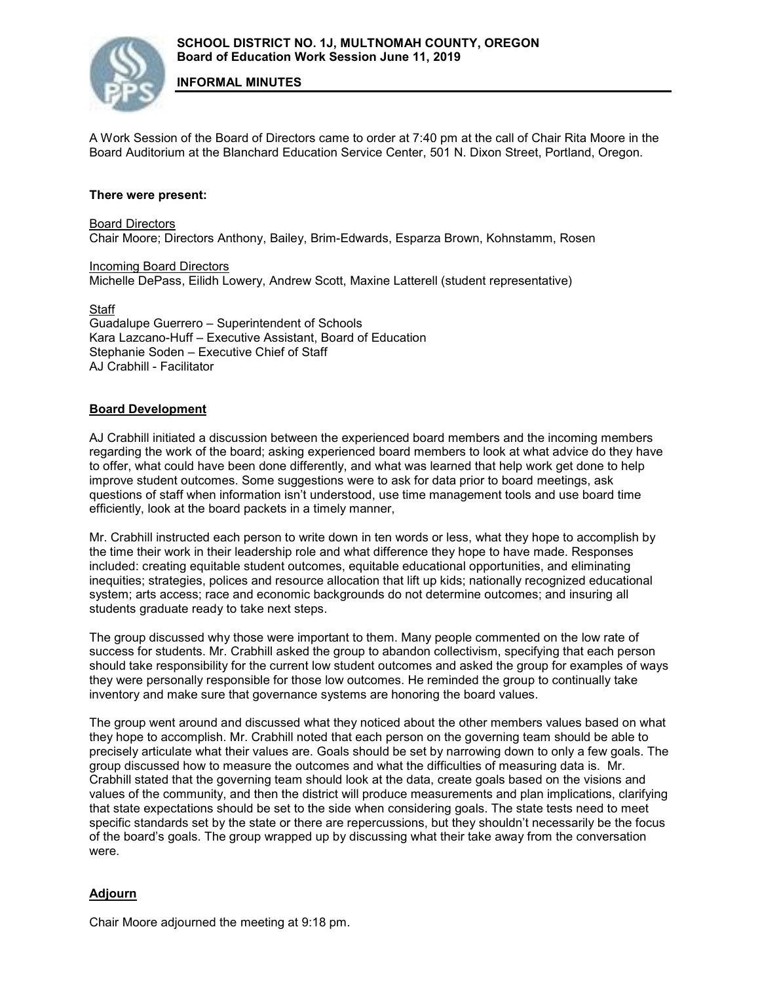A Work Session of the Board of Directors came to order at 7:40 pm at the call of Chair Rita Moore in the Board Auditorium at the Blanchard Education Service Center, 501 N. Dixon Street, Portland, Oregon.

## **There were present:**

Board Directors Chair Moore; Directors Anthony, Bailey, Brim-Edwards, Esparza Brown, Kohnstamm, Rosen

**Incoming Board Directors** Michelle DePass, Eilidh Lowery, Andrew Scott, Maxine Latterell (student representative)

**Staff** 

Guadalupe Guerrero – Superintendent of Schools Kara Lazcano-Huff – Executive Assistant, Board of Education Stephanie Soden – Executive Chief of Staff AJ Crabhill - Facilitator

## **Board Development**

AJ Crabhill initiated a discussion between the experienced board members and the incoming members regarding the work of the board; asking experienced board members to look at what advice do they have to offer, what could have been done differently, and what was learned that help work get done to help improve student outcomes. Some suggestions were to ask for data prior to board meetings, ask questions of staff when information isn't understood, use time management tools and use board time efficiently, look at the board packets in a timely manner,

Mr. Crabhill instructed each person to write down in ten words or less, what they hope to accomplish by the time their work in their leadership role and what difference they hope to have made. Responses included: creating equitable student outcomes, equitable educational opportunities, and eliminating inequities; strategies, polices and resource allocation that lift up kids; nationally recognized educational system; arts access; race and economic backgrounds do not determine outcomes; and insuring all students graduate ready to take next steps.

The group discussed why those were important to them. Many people commented on the low rate of success for students. Mr. Crabhill asked the group to abandon collectivism, specifying that each person should take responsibility for the current low student outcomes and asked the group for examples of ways they were personally responsible for those low outcomes. He reminded the group to continually take inventory and make sure that governance systems are honoring the board values.

The group went around and discussed what they noticed about the other members values based on what they hope to accomplish. Mr. Crabhill noted that each person on the governing team should be able to precisely articulate what their values are. Goals should be set by narrowing down to only a few goals. The group discussed how to measure the outcomes and what the difficulties of measuring data is. Mr. Crabhill stated that the governing team should look at the data, create goals based on the visions and values of the community, and then the district will produce measurements and plan implications, clarifying that state expectations should be set to the side when considering goals. The state tests need to meet specific standards set by the state or there are repercussions, but they shouldn't necessarily be the focus of the board's goals. The group wrapped up by discussing what their take away from the conversation were.

## **Adjourn**

Chair Moore adjourned the meeting at 9:18 pm.